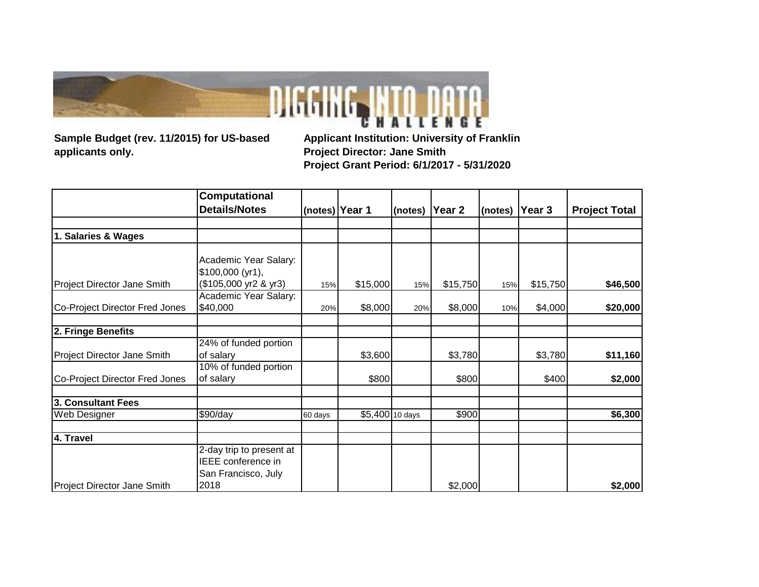

**Sample Budget (rev. 11/2015) for US-based applicants only.**

**Applicant Institution: University of Franklin Project Director: Jane Smith Project Grant Period: 6/1/2017 - 5/31/2020**

|                                | Computational                              |         |                 |         |          |         |          |                      |
|--------------------------------|--------------------------------------------|---------|-----------------|---------|----------|---------|----------|----------------------|
|                                | <b>Details/Notes</b>                       |         | (notes) Year 1  | (notes) | Year 2   | (notes) | Year 3   | <b>Project Total</b> |
|                                |                                            |         |                 |         |          |         |          |                      |
| 1. Salaries & Wages            |                                            |         |                 |         |          |         |          |                      |
|                                |                                            |         |                 |         |          |         |          |                      |
|                                | Academic Year Salary:                      |         |                 |         |          |         |          |                      |
|                                | $$100,000$ (yr1),<br>(\$105,000 yr2 & yr3) |         |                 |         |          |         |          |                      |
| Project Director Jane Smith    |                                            | 15%     | \$15,000        | 15%     | \$15,750 | 15%     | \$15,750 | \$46,500             |
| Co-Project Director Fred Jones | Academic Year Salary:<br>\$40,000          | 20%     | \$8,000         | 20%     | \$8,000  | 10%     | \$4,000  | \$20,000             |
|                                |                                            |         |                 |         |          |         |          |                      |
| 2. Fringe Benefits             |                                            |         |                 |         |          |         |          |                      |
|                                | 24% of funded portion                      |         |                 |         |          |         |          |                      |
| Project Director Jane Smith    | of salary                                  |         | \$3,600         |         | \$3,780  |         | \$3,780  | \$11,160             |
|                                | 10% of funded portion                      |         |                 |         |          |         |          |                      |
| Co-Project Director Fred Jones | of salary                                  |         | \$800           |         | \$800    |         | \$400    | \$2,000              |
| <b>3. Consultant Fees</b>      |                                            |         |                 |         |          |         |          |                      |
| Web Designer                   | \$90/day                                   | 60 days | \$5,400 10 days |         | \$900    |         |          | \$6,300              |
|                                |                                            |         |                 |         |          |         |          |                      |
| 4. Travel                      |                                            |         |                 |         |          |         |          |                      |
|                                | 2-day trip to present at                   |         |                 |         |          |         |          |                      |
|                                | IEEE conference in                         |         |                 |         |          |         |          |                      |
|                                | San Francisco, July                        |         |                 |         |          |         |          |                      |
| Project Director Jane Smith    | 2018                                       |         |                 |         | \$2,000  |         |          | \$2,000              |